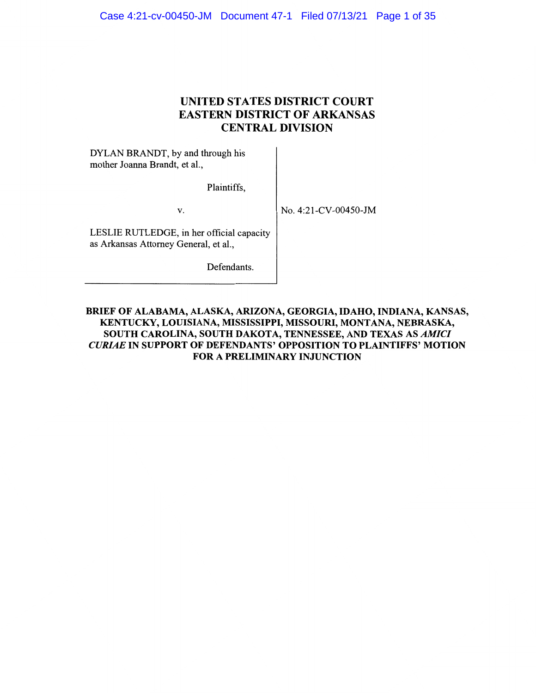# **UNITED STATES DISTRICT COURT EASTERN DISTRICT OF ARKANSAS CENTRAL DIVISION**

DYLAN BRANDT, by and through his mother Joanna Brandt, et al.,

Plaintiffs,

V.

No. 4:2 l-CV-00450-JM

LESLIE RUTLEDGE, in her official capacity as Arkansas Attorney General, et al.,

Defendants.

**BRIEF OF ALABAMA, ALASKA, ARIZONA, GEORGIA, IDAHO, INDIANA, KANSAS, KENTUCKY, LOUISIANA, MISSISSIPPI, MISSOURI, MONTANA, NEBRASKA, SOUTH CAROLINA, SOUTH DAKOTA, TENNESSEE, AND TEXAS AS** *AMICI CURIAE* **IN SUPPORT OF DEFENDANTS' OPPOSITION TO PLAINTIFFS' MOTION FOR A PRELIMINARY INJUNCTION**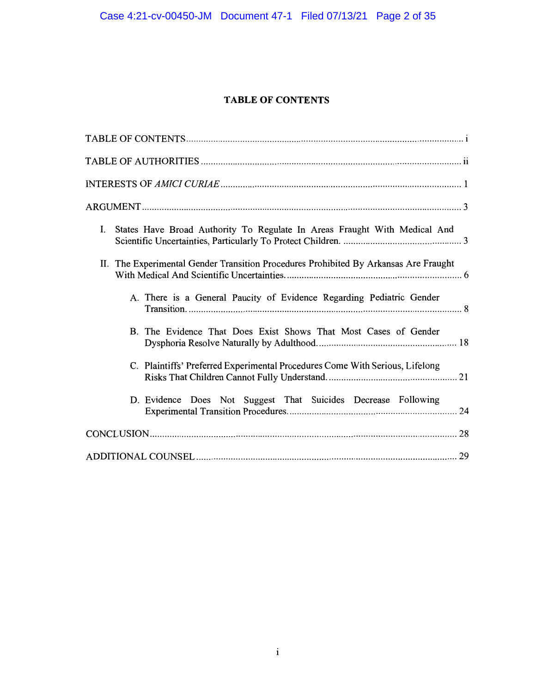# **TABLE OF CONTENTS**

| I. States Have Broad Authority To Regulate In Areas Fraught With Medical And         |
|--------------------------------------------------------------------------------------|
| II. The Experimental Gender Transition Procedures Prohibited By Arkansas Are Fraught |
| A. There is a General Paucity of Evidence Regarding Pediatric Gender                 |
| B. The Evidence That Does Exist Shows That Most Cases of Gender                      |
| C. Plaintiffs' Preferred Experimental Procedures Come With Serious, Lifelong         |
| D. Evidence Does Not Suggest That Suicides Decrease Following                        |
|                                                                                      |
|                                                                                      |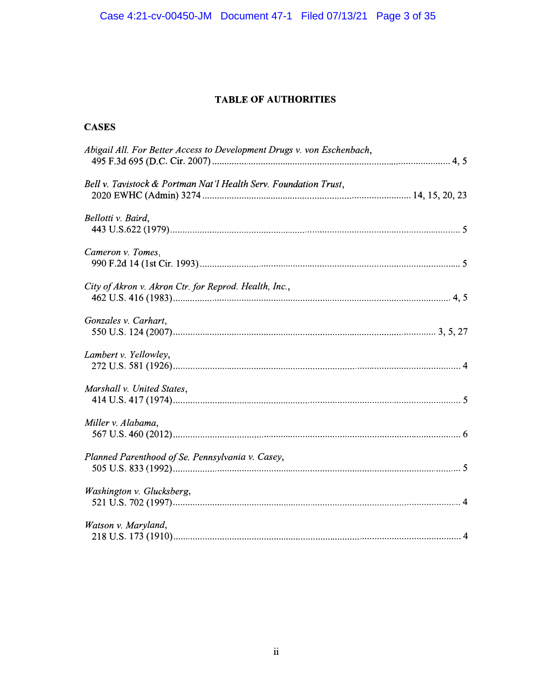# **TABLE OF AUTHORITIES**

# **CASES**

| Abigail All. For Better Access to Development Drugs v. von Eschenbach, |
|------------------------------------------------------------------------|
| Bell v. Tavistock & Portman Nat'l Health Serv. Foundation Trust,       |
| Bellotti v. Baird,                                                     |
| Cameron v. Tomes,                                                      |
| City of Akron v. Akron Ctr. for Reprod. Health, Inc.,                  |
| Gonzales v. Carhart,                                                   |
| Lambert v. Yellowley,                                                  |
| Marshall v. United States,                                             |
| Miller v. Alabama,                                                     |
| Planned Parenthood of Se. Pennsylvania v. Casey,                       |
| Washington v. Glucksberg,                                              |
| Watson v. Maryland,                                                    |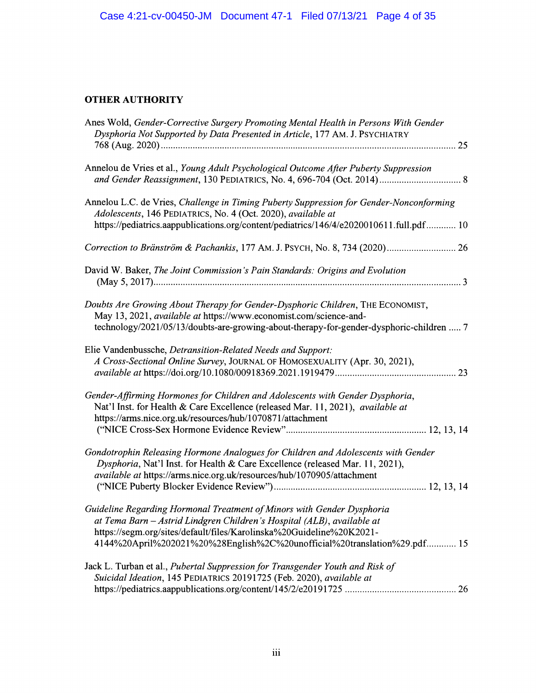# **OTHER AUTHORITY**

| Anes Wold, Gender-Corrective Surgery Promoting Mental Health in Persons With Gender<br>Dysphoria Not Supported by Data Presented in Article, 177 AM. J. PSYCHIATRY                                                                                                                                   |
|------------------------------------------------------------------------------------------------------------------------------------------------------------------------------------------------------------------------------------------------------------------------------------------------------|
| Annelou de Vries et al., Young Adult Psychological Outcome After Puberty Suppression                                                                                                                                                                                                                 |
| Annelou L.C. de Vries, Challenge in Timing Puberty Suppression for Gender-Nonconforming<br>Adolescents, 146 PEDIATRICS, No. 4 (Oct. 2020), available at<br>https://pediatrics.aappublications.org/content/pediatrics/146/4/e2020010611.full.pdf 10                                                   |
| Correction to Bränström & Pachankis, 177 AM. J. PSYCH, No. 8, 734 (2020) 26                                                                                                                                                                                                                          |
| David W. Baker, The Joint Commission's Pain Standards: Origins and Evolution                                                                                                                                                                                                                         |
| Doubts Are Growing About Therapy for Gender-Dysphoric Children, THE ECONOMIST,<br>May 13, 2021, available at https://www.economist.com/science-and-<br>technology/2021/05/13/doubts-are-growing-about-therapy-for-gender-dysphoric-children  7                                                       |
| Elie Vandenbussche, Detransition-Related Needs and Support:<br>A Cross-Sectional Online Survey, JOURNAL OF HOMOSEXUALITY (Apr. 30, 2021),                                                                                                                                                            |
| Gender-Affirming Hormones for Children and Adolescents with Gender Dysphoria,<br>Nat'l Inst. for Health & Care Excellence (released Mar. 11, 2021), available at<br>https://arms.nice.org.uk/resources/hub/1070871/attachment                                                                        |
| Gondotrophin Releasing Hormone Analogues for Children and Adolescents with Gender<br>Dysphoria, Nat'l Inst. for Health & Care Excellence (released Mar. 11, 2021),<br>available at https://arms.nice.org.uk/resources/hub/1070905/attachment                                                         |
| Guideline Regarding Hormonal Treatment of Minors with Gender Dysphoria<br>at Tema Barn - Astrid Lindgren Children's Hospital (ALB), available at<br>https://segm.org/sites/default/files/Karolinska%20Guideline%20K2021-<br>4144%20April%202021%20%28English%2C%20unofficial%20translation%29.pdf 15 |
| Jack L. Turban et al., Pubertal Suppression for Transgender Youth and Risk of<br>Suicidal Ideation, 145 PEDIATRICS 20191725 (Feb. 2020), available at                                                                                                                                                |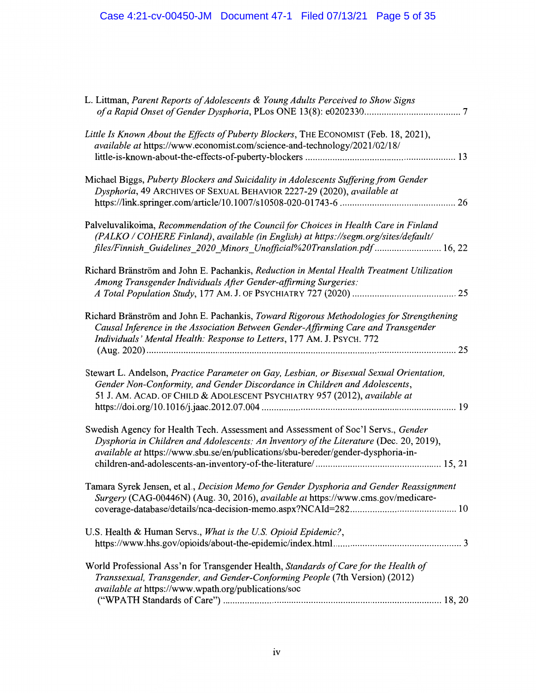| L. Littman, Parent Reports of Adolescents & Young Adults Perceived to Show Signs                                                                                                                                                                                |
|-----------------------------------------------------------------------------------------------------------------------------------------------------------------------------------------------------------------------------------------------------------------|
| Little Is Known About the Effects of Puberty Blockers, THE ECONOMIST (Feb. 18, 2021),<br>available at https://www.economist.com/science-and-technology/2021/02/18/                                                                                              |
| Michael Biggs, Puberty Blockers and Suicidality in Adolescents Suffering from Gender<br>Dysphoria, 49 ARCHIVES OF SEXUAL BEHAVIOR 2227-29 (2020), available at                                                                                                  |
| Palveluvalikoima, Recommendation of the Council for Choices in Health Care in Finland<br>(PALKO / COHERE Finland), available (in English) at https://segm.org/sites/default/<br>files/Finnish Guidelines 2020 Minors Unofficial%20Translation.pdf  16, 22       |
| Richard Bränström and John E. Pachankis, Reduction in Mental Health Treatment Utilization<br>Among Transgender Individuals After Gender-affirming Surgeries:                                                                                                    |
| Richard Bränström and John E. Pachankis, Toward Rigorous Methodologies for Strengthening<br>Causal Inference in the Association Between Gender-Affirming Care and Transgender<br>Individuals' Mental Health: Response to Letters, 177 AM. J. PSYCH. 772         |
| Stewart L. Andelson, Practice Parameter on Gay, Lesbian, or Bisexual Sexual Orientation,<br>Gender Non-Conformity, and Gender Discordance in Children and Adolescents,<br>51 J. AM. ACAD. OF CHILD & ADOLESCENT PSYCHIATRY 957 (2012), available at             |
| Swedish Agency for Health Tech. Assessment and Assessment of Soc'l Servs., Gender<br>Dysphoria in Children and Adolescents: An Inventory of the Literature (Dec. 20, 2019),<br>available at https://www.sbu.se/en/publications/sbu-bereder/gender-dysphoria-in- |
| Tamara Syrek Jensen, et al., Decision Memo for Gender Dysphoria and Gender Reassignment<br>Surgery (CAG-00446N) (Aug. 30, 2016), available at https://www.cms.gov/medicare-                                                                                     |
| U.S. Health & Human Servs., What is the U.S. Opioid Epidemic?,                                                                                                                                                                                                  |
| World Professional Ass'n for Transgender Health, Standards of Care for the Health of<br>Transsexual, Transgender, and Gender-Conforming People (7th Version) (2012)<br>available at https://www.wpath.org/publications/soc                                      |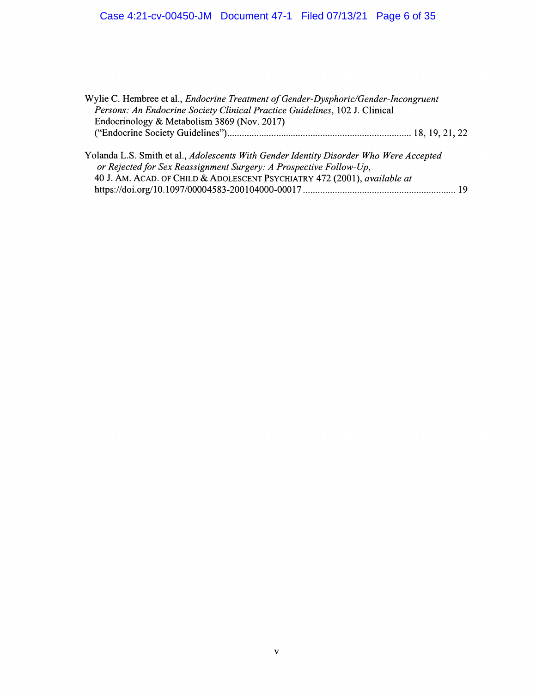# Case 4:21-cv-00450-JM Document 47-1 Filed 07/13/21 Page 6 of 35

| Wylie C. Hembree et al., <i>Endocrine Treatment of Gender-Dysphoric/Gender-Incongruent</i><br>Persons: An Endocrine Society Clinical Practice Guidelines, 102 J. Clinical<br>Endocrinology & Metabolism 3869 (Nov. 2017)                  |  |
|-------------------------------------------------------------------------------------------------------------------------------------------------------------------------------------------------------------------------------------------|--|
|                                                                                                                                                                                                                                           |  |
| Yolanda L.S. Smith et al., Adolescents With Gender Identity Disorder Who Were Accepted<br>or Rejected for Sex Reassignment Surgery: A Prospective Follow-Up,<br>40 J. AM. ACAD. OF CHILD & ADOLESCENT PSYCHIATRY 472 (2001), available at |  |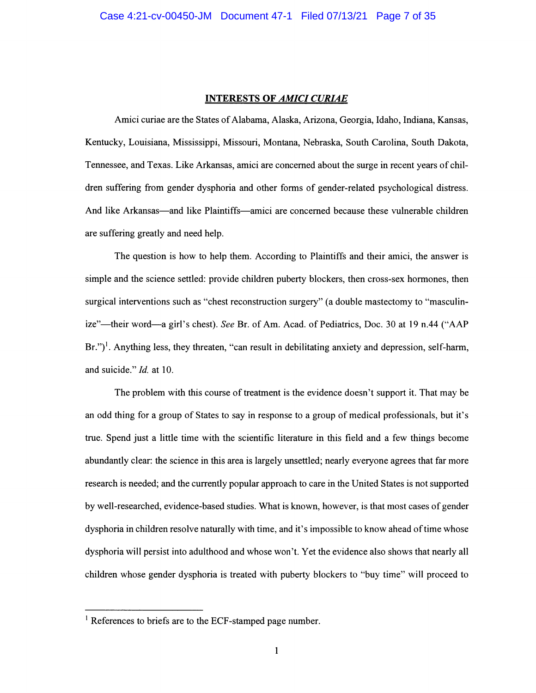#### **INTERESTS OF** *AMICI CURIAE*

Amici curiae are the States of Alabama, Alaska, Arizona, Georgia, Idaho, Indiana, Kansas, Kentucky, Louisiana, Mississippi, Missouri, Montana, Nebraska, South Carolina, South Dakota, Tennessee, and Texas. Like Arkansas, amici are concerned about the surge in recent years of children suffering from gender dysphoria and other forms of gender-related psychological distress. And like Arkansas—and like Plaintiffs—amici are concerned because these vulnerable children are suffering greatly and need help.

The question is how to help them. According to Plaintiffs and their amici, the answer is simple and the science settled: provide children puberty blockers, then cross-sex hormones, then surgical interventions such as "chest reconstruction surgery" (a double mastectomy to "masculinize"-their word-a girl's chest). *See* Br. of Am. Acad. of Pediatrics, Doc. 30 at 19 n.44 ("AAP  $Br.'']$ <sup>1</sup>. Anything less, they threaten, "can result in debilitating anxiety and depression, self-harm, and suicide." *Id.* at 10.

The problem with this course of treatment is the evidence doesn't support it. That may be an odd thing for a group of States to say in response to a group of medical professionals, but it's true. Spend just a little time with the scientific literature in this field and a few things become abundantly clear: the science in this area is largely unsettled; nearly everyone agrees that far more research is needed; and the currently popular approach to care in the United States is not supported by well-researched, evidence-based studies. What is known, however, is that most cases of gender dysphoria in children resolve naturally with time, and it's impossible to know ahead of time whose dysphoria will persist into adulthood and whose won't. Yet the evidence also shows that nearly all children whose gender dysphoria is treated with puberty blockers to "buy time" will proceed to

<sup>&</sup>lt;sup>1</sup> References to briefs are to the ECF-stamped page number.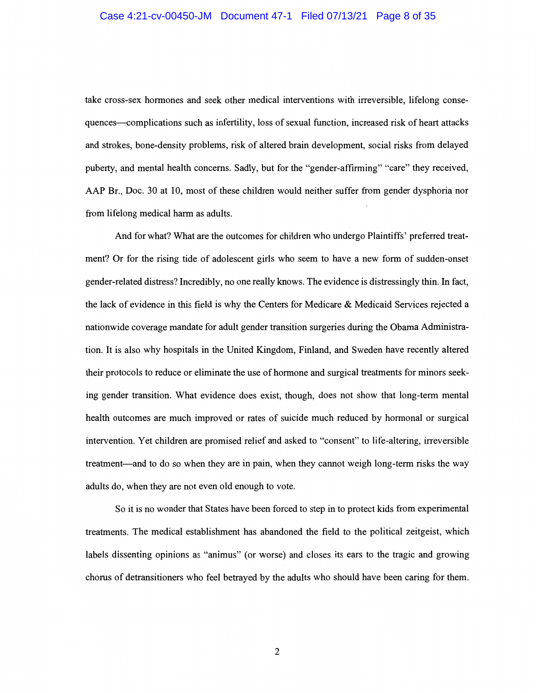take cross-sex hormones and seek other medical interventions with irreversible, lifelong consequences--complications such as infertility, loss of sexual function, increased risk of heart attacks and strokes, bone-density problems, risk of altered brain development, social risks from delayed puberty, and mental health concerns. Sadly, but for the "gender-affirming" "care" they received, AAP Br., Doc. 30 at 10, most of these children would neither suffer from gender dysphoria nor from lifelong medical harm as adults.

And for what? What are the outcomes for children who undergo Plaintiffs' preferred treatment? Or for the rising tide of adolescent girls who seem to have a new form of sudden-onset gender-related distress? Incredibly, no one really knows. The evidence is distressingly thin. In fact, the lack of evidence in this field is why the Centers for Medicare & Medicaid Services rejected a nationwide coverage mandate for adult gender transition surgeries during the Obama Administration. It is also why hospitals in the United Kingdom, Finland, and Sweden have recently altered their protocols to reduce or eliminate the use of hormone and surgical treatments for minors seeking gender transition. What evidence does exist, though, does not show that long-term mental health outcomes are much improved or rates of suicide much reduced by hormonal or surgical intervention. Yet children are promised relief and asked to "consent" to life-altering, irreversible treatment-and to do so when they are in pain, when they cannot weigh long-term risks the way adults do, when they are not even old enough to vote.

So it is no wonder that States have been forced to step in to protect kids from experimental treatments. The medical establishment has abandoned the field to the political zeitgeist, which labels dissenting opinions as "animus" (or worse) and closes its ears to the tragic and growing chorus of detransitioners who feel betrayed by the adults who should have been caring for them.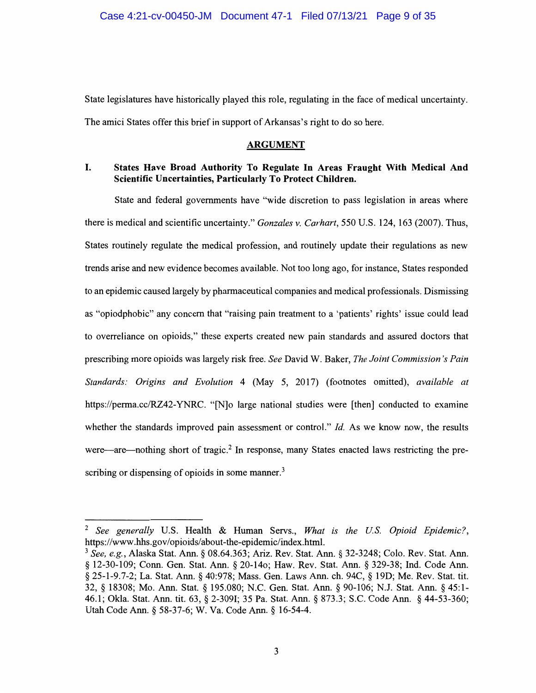State legislatures have historically played this role, regulating in the face of medical uncertainty. The amici States offer this brief in support of Arkansas's right to do so here.

## **ARGUMENT**

# I. **States Have Broad Authority To Regulate In Areas Fraught With Medical And Scientific Uncertainties, Particularly To Protect Children.**

State and federal governments have ''wide discretion to pass legislation in areas where there is medical and scientific uncertainty." *Gonzales v. Carhart, 550* U.S. 124, 163 (2007). Thus, States routinely regulate the medical profession, and routinely update their regulations as new trends arise and new evidence becomes available. Not too long ago, for instance, States responded to an epidemic caused largely by pharmaceutical companies and medical professionals. Dismissing as "opiodphobic" any concern that "raising pain treatment to a 'patients' rights' issue could lead to overreliance on opioids," these experts created new pain standards and assured doctors that prescribing more opioids was largely risk free. *See* David W. Baker, *The Joint Commission's Pain Standards: Origins and Evolution* 4 (May *5,* 2017) (footnotes omitted), *available at*  https://perma.cc/RZ42-YNRC. "[N]o large national studies were [then] conducted to examine whether the standards improved pain assessment or control." *Id.* As we know now, the results were—are—nothing short of tragic.<sup>2</sup> In response, many States enacted laws restricting the prescribing or dispensing of opioids in some manner. $3$ 

<sup>2</sup>*See generally* U.S. Health & Human Servs., *What is the U.S. Opioid Epidemic?,*  https://www.hhs.gov/opioids/about-the-epidemic/index.html.

<sup>3</sup> *See, e.g.,* Alaska Stat. Ann.§ 08.64.363; Ariz. Rev. Stat. Ann.§ 32-3248; Colo. Rev. Stat. Ann. § 12-30-109; Conn. Gen. Stat. Ann. § 20-140; Haw. Rev. Stat. Ann. § 329-38; Ind. Code Ann. § 25-1-9.7-2; La. Stat. Ann. § 40:978; Mass. Gen. Laws Ann. ch. 94C, § 19D; Me. Rev. Stat. tit. 32, § 18308; Mo. Ann. Stat. § 195.080; N.C. Gen. Stat. Ann.§ 90-106; N.J. Stat. Ann. § 45:1- 46.1; Okla. Stat. Ann. tit. 63, § 2-3091; 35 Pa. Stat. Ann.§ 873.3; S.C. Code Ann. § 44-53-360; Utah Code Ann.§ 58-37-6; W. Va. Code Ann.§ 16-54-4.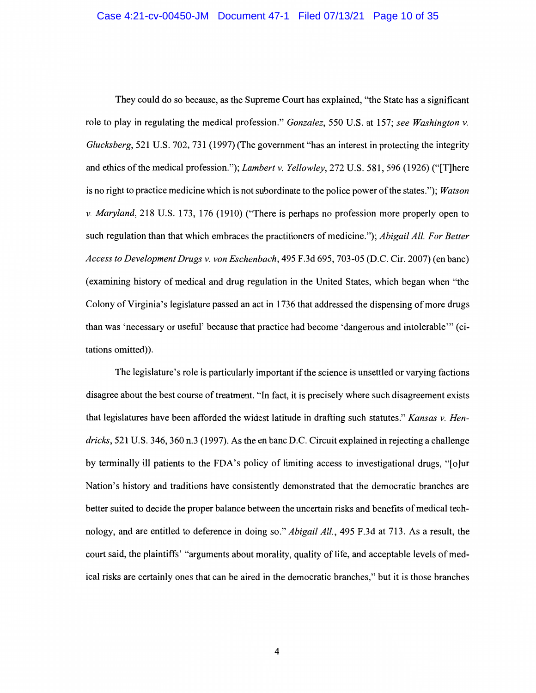They could do so because, as the Supreme Court has explained, ''the State has a significant role to play in regulating the medical profession." *Gonzalez,* 550 U.S. at 157; *see Washington v. Glucksberg,* 521 U.S. 702, 731 (1997) (The government "has an interest in protecting the integrity and ethics of the medical profession."); *Lambert v. Yellowley,* 272 U.S. 581,596 (1926) ("[T]here is no right to practice medicine which is not subordinate to the police power of the states."); *Watson v. Maryland,* 218 U.S. 173, 176 (1910) ("There is perhaps no profession more properly open to such regulation than that which embraces the practitioners of medicine."); *Abigail All. For Better Access to Development Drugs v. von Eschenbach,* 495 F .3d 695, 703-05 (D.C. Cir. 2007) ( en bane) ( examining history of medical and drug regulation in the United States, which began when "the Colony of Virginia's legislature passed an act in 1736 that addressed the dispensing of more drugs than was 'necessary or useful' because that practice had become 'dangerous and intolerable"' (citations omitted)).

The legislature's role is particularly important if the science is unsettled or varying factions disagree about the best course of treatment. "In fact, it is precisely where such disagreement exists that legislatures have been afforded the widest latitude in drafting such statutes." *Kansas v. Hendricks,* 521 U.S. 346,360 n.3 (1997). As the en bane D.C. Circuit explained in rejecting a challenge by terminally ill patients to the FDA's policy of limiting access to investigational drugs, "[o]ur Nation's history and traditions have consistently demonstrated that the democratic branches are better suited to decide the proper balance between the uncertain risks and benefits of medical technology, and are entitled to deference in doing so." *Abigail All.,* 495 F.3d at 713. As a result, the court said, the plaintiffs' "arguments about morality, quality of life, and acceptable levels of medical risks are certainly ones that can be aired in the democratic branches," but it is those branches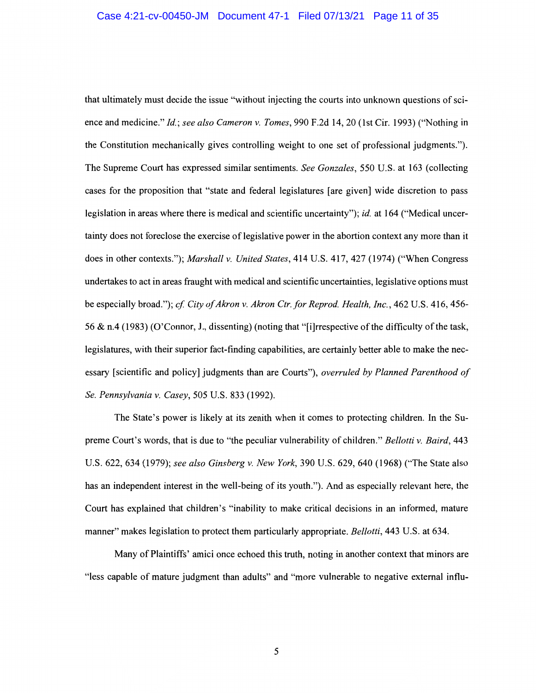that ultimately must decide the issue "without injecting the courts into unknown questions of science and medicine." *Id.; see also Cameron v. Tomes,* 990 F.2d 14, 20 (1st Cir. 1993) ("Nothing in the Constitution mechanically gives controlling weight to one set of professional judgments."). The Supreme Court has expressed similar sentiments. *See Gonzales,* 550 U.S. at 163 (collecting cases for the proposition that "state and federal legislatures [ are given] wide discretion to pass legislation in areas where there is medical and scientific uncertainty"); *id.* at 164 ("Medical uncertainty does not foreclose the exercise of legislative power in the abortion context any more than it does in other contexts."); *Marshall v. United States,* 414 U.S. 417, 427 (1974) ("When Congress undertakes to act in areas fraught with medical and scientific uncertainties, legislative options must be especially broad."); *cf City of Akron v. Akron Ctr.for Reprod. Health, Inc.,* 462 U.S. 416, 456- 56 & n.4 (1983) (O'Connor, J., dissenting) (noting that "[i]rrespective of the difficulty of the task, legislatures, with their superior fact-finding capabilities, are certainly better able to make the necessary [scientific and policy] judgments than are Courts"), *overruled by Planned Parenthood of Se. Pennsylvania v. Casey,* 505 U.S. 833 (1992).

The State's power is likely at its zenith when it comes to protecting children. In the Supreme Court's words, that is due to "the peculiar vulnerability of children." *Bellotti v. Baird,* 443 U.S. 622, 634 (1979); *see also Ginsberg v. New York,* 390 U.S. 629, 640 (1968) ("The State also has an independent interest in the well-being of its youth."). And as especially relevant here, the Court has explained that children's "inability to make critical decisions in an informed, mature manner" makes legislation to protect them particularly appropriate. *Bellotti,* 443 U.S. at 634.

Many of Plaintiffs' amici once echoed this truth, noting in another context that minors are "less capable of mature judgment than adults" and "more vulnerable to negative external influ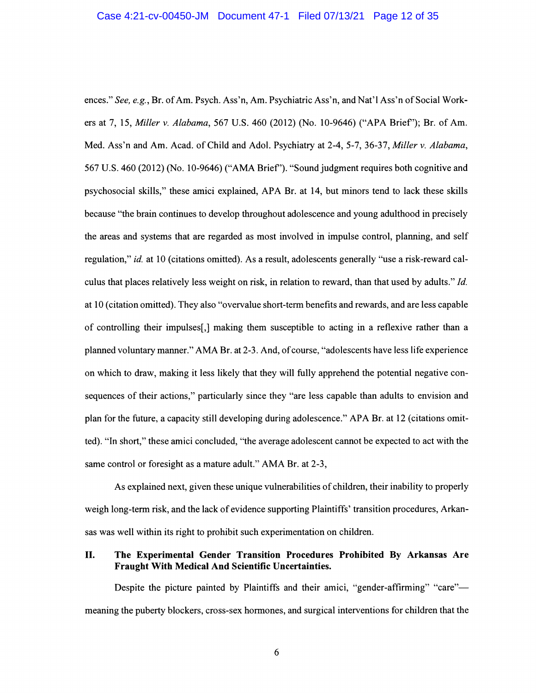ences." *See, e.g.,* Br. of Am. Psych. Ass'n, Am. Psychiatric Ass'n, and Nat'l Ass'n of Social Workers at 7, 15, *Miller v. Alabama,* 567 U.S. 460 (2012) (No. 10-9646) ("APA Brief'); Br. of Am. Med. Ass'n and Am. Acad. of Child and Adol. Psychiatry at 2-4, 5-7, 36-37, *Miller v. Alabama,*  567 U.S. 460 (2012) (No. 10-9646) ("AMA Brief'). "Sound judgment requires both cognitive and psychosocial skills," these amici explained, APA Br. at 14, but minors tend to lack these skills because "the brain continues to develop throughout adolescence and young adulthood in precisely the areas and systems that are regarded as most involved in impulse control, planning, and self regulation," *id.* at 10 (citations omitted). As a result, adolescents generally "use a risk-reward calculus that places relatively less weight on risk, in relation to reward, than that used by adults." *Id.*  at 10 (citation omitted). They also "overvalue short-term benefits and rewards, and are less capable of controlling their impulses[,] making them susceptible to acting in a reflexive rather than a planned voluntary manner." AMA Br. at 2-3. And, of course, "adolescents have less Ii fe experience on which to draw, making it less likely that they will fully apprehend the potential negative consequences of their actions," particularly since they "are less capable than adults to envision and plan for the future, a capacity still developing during adolescence." APA Br. at 12 (citations omitted). "In short," these amici concluded, "the average adolescent cannot be expected to act with the same control or foresight as a mature adult." AMA Br. at 2-3,

As explained next, given these unique vulnerabilities of children, their inability to properly weigh long-term risk, and the lack of evidence supporting Plaintiffs' transition procedures, Arkansas was well within its right to prohibit such experimentation on children.

# II. **The Experimental Gender Transition Procedures Prohibited By Arkansas Are Fraught With Medical And Scientific Uncertainties.**

Despite the picture painted by Plaintiffs and their amici, "gender-affirming" "care"meaning the puberty blockers, cross-sex hormones, and surgical interventions for children that the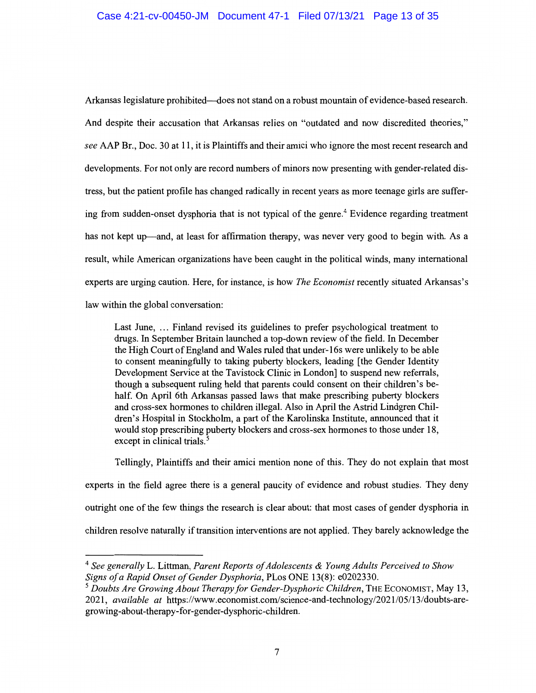# Case 4:21-cv-00450-JM Document 47-1 Filed 07/13/21 Page 13 of 35

Arkansas legislature prohibited--does not stand on a robust mountain of evidence-based research. And despite their accusation that Arkansas relies on "outdated and now discredited theories," *see* AAP Br., Doc. 30 at 11, it is Plaintiffs and their amici who ignore the most recent research and developments. For not only are record numbers of minors now presenting with gender-related distress, but the patient profile has changed radically in recent years as more teenage girls are suffering from sudden-onset dysphoria that is not typical of the genre.<sup>4</sup> Evidence regarding treatment has not kept up—and, at least for affirmation therapy, was never very good to begin with. As a result, while American organizations have been caught in the political winds, many international experts are urging caution. Here, for instance, is how *The Economist* recently situated Arkansas's law within the global conversation:

Last June, ... Finland revised its guidelines to prefer psychological treatment to drugs. In September Britain launched a top-down review of the field. In December the High Court of England and Wales ruled that under-16s were unlikely to be able to consent meaningfully to taking puberty blockers, leading [the Gender Identity Development Service at the Tavistock Clinic in London] to suspend new referrals, though a subsequent ruling held that parents could consent on their children's behalf. On April 6th Arkansas passed laws that make prescribing puberty blockers and cross-sex hormones to children illegal. Also in April the Astrid Lindgren Children's Hospital in Stockholm, a part of the Karolinska Institute, announced that it would stop prescribing puberty blockers and cross-sex hormones to those under 18, except in clinical trials.<sup>5</sup>

Tellingly, Plaintiffs and their amici mention none of this. They do not explain that most

experts in the field agree there is a general paucity of evidence and robust studies. They deny outright one of the few things the research is clear about: that most cases of gender dysphoria in children resolve naturally if transition interventions are not applied. They barely acknowledge the

<sup>4</sup>*See generally* L. Littman, *Parent Reports of Adolescents & Young Adults Perceived to Show Signs of a Rapid Onset of Gender Dysphoria,* PLos ONE 13(8): e0202330.

<sup>&</sup>lt;sup>5</sup> Doubts Are Growing About Therapy for Gender-Dysphoric Children, THE ECONOMIST, May 13, 2021, *available at* https://www.economist.com/science-and-technology/2021/05/13/doubts-aregrowing-about-therapy-for-gender-dysphoric-children.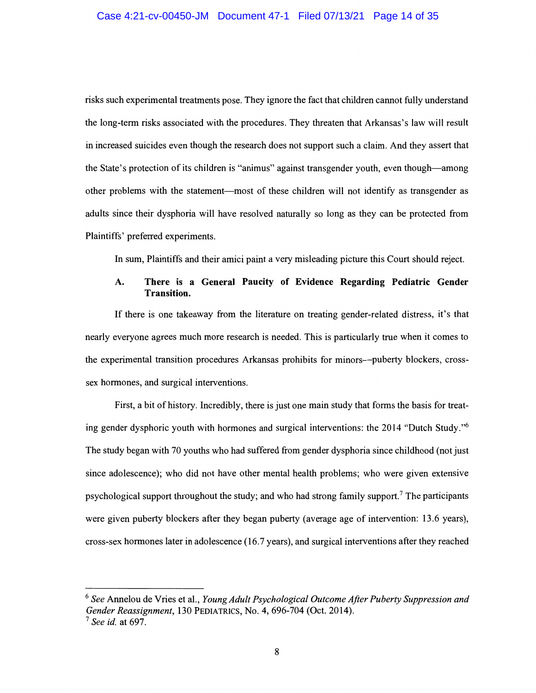risks such experimental treatments pose. They ignore the fact that children cannot fully understand the long-term risks associated with the procedures. They threaten that Arkansas's law will result in increased suicides even though the research does not support such a claim. And they assert that the State's protection of its children is "animus" against transgender youth, even though-among other problems with the statement-most of these children will not identify as transgender as adults since their dysphoria will have resolved naturally so long as they can be protected from Plaintiffs' preferred experiments.

In sum, Plaintiffs and their amici paint a very misleading picture this Court should reject.

# **A. There is a General Paucity of Evidence Regarding Pediatric Gender Transition.**

If there is one takeaway from the literature on treating gender-related distress, it's that nearly everyone agrees much more research is needed. This is particularly true when it comes to the experimental transition procedures Arkansas prohibits for minors-puberty blockers, crosssex hormones, and surgical interventions.

First, a bit of history. Incredibly, there is just one main study that forms the basis for treating gender dysphoric youth with hormones and surgical interventions: the 2014 "Dutch Study ."<sup>6</sup> The study began with 70 youths who had suffered from gender dysphoria since childhood (not just since adolescence); who did not have other mental health problems; who were given extensive psychological support throughout the study; and who had strong family support.<sup>7</sup> The participants were given puberty blockers after they began puberty (average age of intervention: 13.6 years), cross-sex hormones later in adolescence (16.7 years), and surgical interventions after they reached

<sup>6</sup>*See* Annelou de Vries et al., *Young Adult Psychological Outcome After Puberty Suppression and Gender Reassignment,* 130 PEDIATRICS, No. 4, 696-704 (Oct. 2014). 7 *See id.* at 697.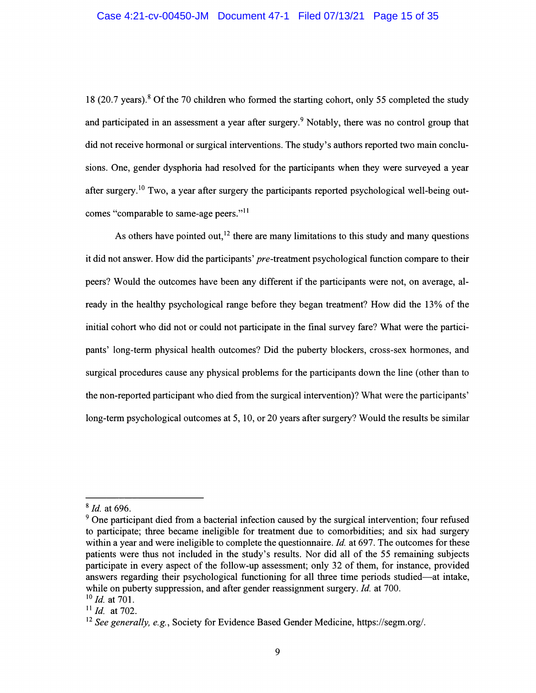18 (20.7 years). <sup>8</sup> Of the 70 children who formed the starting cohort, only 55 completed the study and participated in an assessment a year after surgery.<sup>9</sup> Notably, there was no control group that did not receive hormonal or surgical interventions. The study's authors reported two main conclusions. One, gender dysphoria had resolved for the participants when they were surveyed a year after surgery.<sup>10</sup> Two, a year after surgery the participants reported psychological well-being outcomes "comparable to same-age peers."<sup>11</sup>

As others have pointed out,  $12$  there are many limitations to this study and many questions it did not answer. How did the participants' *pre-treatment* psychological function compare to their peers? Would the outcomes have been any different if the participants were not, on average, already in the healthy psychological range before they began treatment? How did the 13% of the initial cohort who did not or could not participate in the final survey fare? What were the participants' long-term physical health outcomes? Did the puberty blockers, cross-sex hormones, and surgical procedures cause any physical problems for the participants down the line ( other than to the non-reported participant who died from the surgical intervention)? What were the participants' long-term psychological outcomes at 5, 10, or 20 years after surgery? Would the results be similar

<sup>8</sup> *Id.* at 696.

<sup>&</sup>lt;sup>9</sup> One participant died from a bacterial infection caused by the surgical intervention; four refused to participate; three became ineligible for treatment due to comorbidities; and six had surgery within a year and were ineligible to complete the questionnaire. *Id.* at 697. The outcomes for these patients were thus not included in the study's results. Nor did all of the 55 remaining subjects participate in every aspect of the follow-up assessment; only 32 of them, for instance, provided answers regarding their psychological functioning for all three time periods studied-at intake, while on puberty suppression, and after gender reassignment surgery. *Id.* at 700. <sup>10</sup>*Id.* at 701.

<sup>11</sup>*Id.* at 702.

<sup>12</sup>*See generally, e.g.,* Society for Evidence Based Gender Medicine, https://segm.org/.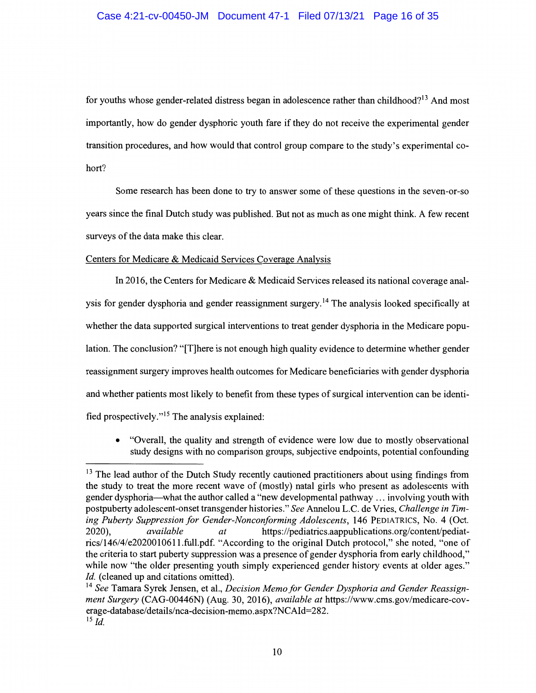## Case 4:21-cv-00450-JM Document 47-1 Filed 07/13/21 Page 16 of 35

for youths whose gender-related distress began in adolescence rather than childhood?<sup>13</sup> And most importantly, how do gender dysphoric youth fare if they do not receive the experimental gender transition procedures, and how would that control group compare to the study's experimental cohort?

Some research has been done to try to answer some of these questions in the seven-or-so years since the final Dutch study was published. But not as much as one might think. A few recent surveys of the data make this clear.

#### Centers for Medicare & Medicaid Services Coverage Analysis

In 2016, the Centers for Medicare & Medicaid Services released its national coverage analysis for gender dysphoria and gender reassignment surgery.<sup>14</sup> The analysis looked specifically at whether the data supported surgical interventions to treat gender dysphoria in the Medicare population. The conclusion? "[T]here is not enough high quality evidence to determine whether gender reassignment surgery improves health outcomes for Medicare beneficiaries with gender dysphoria and whether patients most likely to benefit from these types of surgical intervention can be identified prospectively."15 The analysis explained:

• "Overall, the quality and strength of evidence were low due to mostly observational study designs with no comparison groups, subjective endpoints, potential confounding

<sup>&</sup>lt;sup>13</sup> The lead author of the Dutch Study recently cautioned practitioners about using findings from the study to treat the more recent wave of (mostly) natal girls who present as adolescents with gender dysphoria-what the author called a "new developmental pathway ... involving youth with postpuberty adolescent-onset transgender histories." *See* Annelou L.C. de Vries, *Challenge in Timing Puberty Suppression for Gender-Nonconforming Adolescents,* 146 PEDIATRICS, No. 4 (Oct. 2020), *available at* https://pediatrics.aappublications.org/content/pediatrics/146/4/e2020010611.full.pdf. "According to the original Dutch protocol," she noted, "one of the criteria to start puberty suppression was a presence of gender dysphoria from early childhood," while now "the older presenting youth simply experienced gender history events at older ages." *Id.* (cleaned up and citations omitted).

<sup>14</sup> *See* Tamara Syrek Jensen, et al., *Decision Memo for Gender Dysphoria and Gender Reassignment Surgery* (CAG-00446N) (Aug. 30, 2016), *available at* https://www.cms.gov/medicare-coverage-database/details/nca-decision-memo.aspx?NCAid=282.  $^{15}$  *Id.*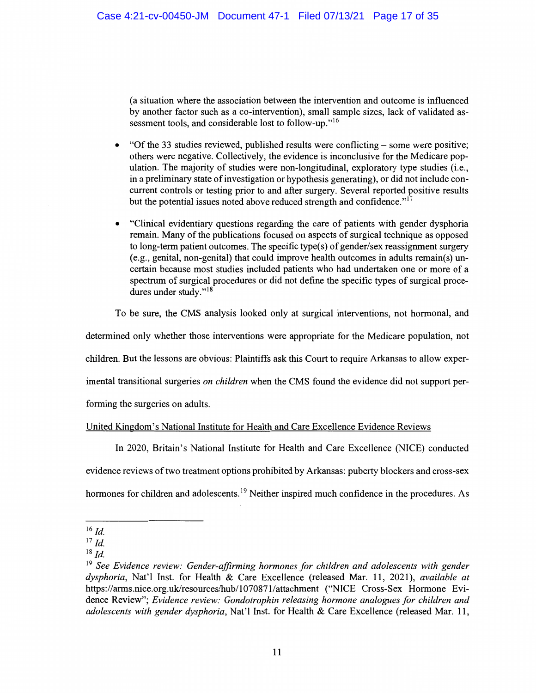(a situation where the association between the intervention and outcome is influenced by another factor such as a co-intervention), small sample sizes, lack of validated assessment tools, and considerable lost to follow-up."<sup>16</sup>

- "Of the 33 studies reviewed, published results were conflicting some were positive; others were negative. Collectively, the evidence is inconclusive for the Medicare population. The majority of studies were non-longitudinal, exploratory type studies (i.e., in a preliminary state of investigation or hypothesis generating), or did not include concurrent controls or testing prior to and after surgery. Several reported positive results but the potential issues noted above reduced strength and confidence."<sup>17</sup>
- "Clinical evidentiary questions regarding the care of patients with gender dysphoria remain. Many of the publications focused on aspects of surgical technique as opposed to long-term patient outcomes. The specific type(s) of gender/sex reassignment surgery (e.g., genital, non-genital) that could improve health outcomes in adults remain(s) uncertain because most studies included patients who had undertaken one or more of a spectrum of surgical procedures or did not define the specific types of surgical procedures under study."<sup>18</sup>

To be sure, the CMS analysis looked only at surgical interventions, not hormonal, and

determined only whether those interventions were appropriate for the Medicare population, not

children. But the lessons are obvious: Plaintiffs ask this Court to require Arkansas to allow exper-

imental transitional surgeries *on children* when the CMS found the evidence did not support per-

forming the surgeries on adults.

# United Kingdom's National Institute for Health and Care Excellence Evidence Reviews

In 2020, Britain's National Institute for Health and Care Excellence (NICE) conducted evidence reviews of two treatment options prohibited by Arkansas: puberty blockers and cross-sex hormones for children and adolescents.<sup>19</sup> Neither inspired much confidence in the procedures. As

 $16$  *Id.* 

 $^{17}$  *Id.* 

 $18$  *Id.* 

<sup>&</sup>lt;sup>19</sup> See Evidence review: Gender-affirming hormones for children and adolescents with gender *dysphoria,* Nat'l Inst. for Health & Care Excellence (released Mar. 11, 2021), *available at*  https://arms.nice.org.uk/resources/hub/1070871/attachment ("NICE Cross-Sex Hormone Evidence Review"; *Evidence review: Gondotrophin releasing hormone analogues for children and adolescents with gender dysphoria, Nat'l Inst. for Health & Care Excellence (released Mar. 11,*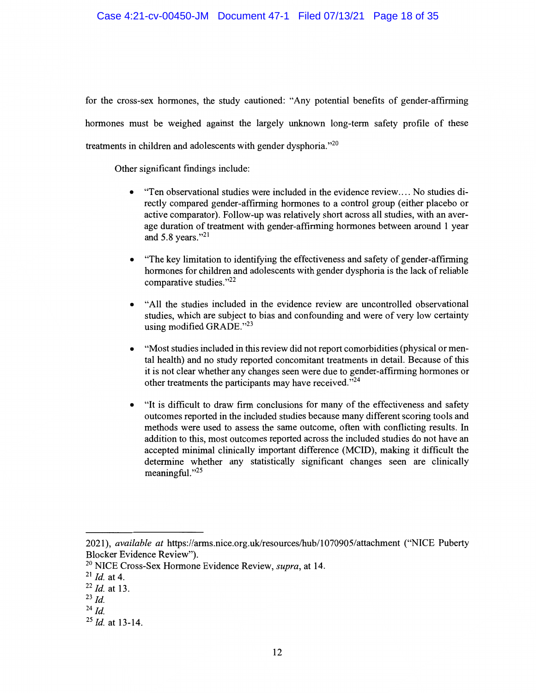for the cross-sex hormones, the study cautioned: "Any potential benefits of gender-affirming hormones must be weighed against the largely unknown long-term safety profile of these treatments in children and adolescents with gender dysphoria." $^{20}$ 

Other significant findings include:

- "Ten observational studies were included in the evidence review .... No studies directly compared gender-affirming hormones to a control group (either placebo or active comparator). Follow-up was relatively short across all studies, with an average duration of treatment with gender-affirming hormones between around 1 year and 5.8 years."21
- "The key limitation to identifying the effectiveness and safety of gender-affirming hormones for children and adolescents with gender dysphoria is the lack of reliable comparative studies."22
- "All the studies included in the evidence review are uncontrolled observational studies, which are subject to bias and confounding and were of very low certainty using modified GRADE."<sup>23</sup>
- "Most studies included in this review did not report comorbidities (physical or mental health) and no study reported concomitant treatments in detail. Because of this it is not clear whether any changes seen were due to gender-affirming hormones or other treatments the participants may have received."<sup>24</sup>
- "It is difficult to draw firm conclusions for many of the effectiveness and safety outcomes reported in the included studies because many different scoring tools and methods were used to assess the same outcome, often with conflicting results. In addition to this, most outcomes reported across the included studies do not have an accepted minimal clinically important difference (MCID), making it difficult the determine whether any statistically significant changes seen are clinically meaningful." $^{25}$

<sup>2021),</sup> *available at* https://arms.nice.org.uk/resources/hub/1070905/attachment ("NICE Puberty Blocker Evidence Review").

<sup>20</sup> NICE Cross-Sex Hormone Evidence Review, *supra,* at 14.

<sup>21</sup>*Id.* at 4.

<sup>22</sup>*Id.* at 13.

<sup>23</sup>*Id.* 

<sup>24</sup>*Id.* 

<sup>25</sup>*Id.* at 13-14.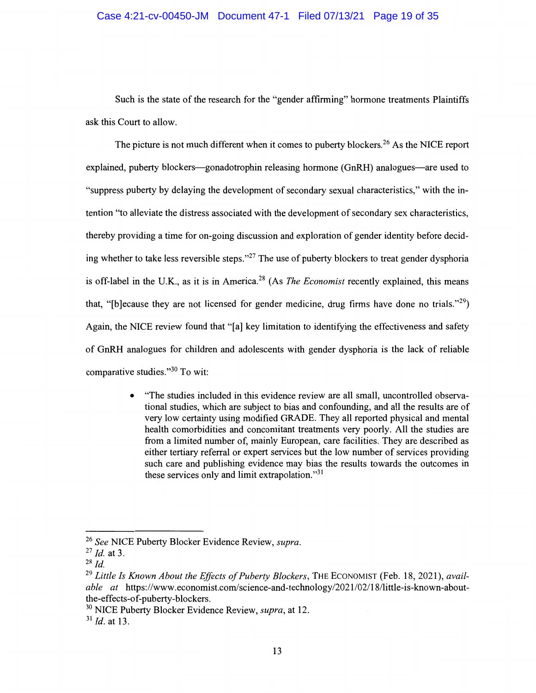Such is the state of the research for the "gender affirming" hormone treatments Plaintiffs ask this Court to allow.

The picture is not much different when it comes to puberty blockers.<sup>26</sup> As the NICE report explained, puberty blockers—gonadotrophin releasing hormone (GnRH) analogues—are used to "suppress puberty by delaying the development of secondary sexual characteristics," with the intention "to alleviate the distress associated with the development of secondary sex characteristics, thereby providing a time for on-going discussion and exploration of gender identity before deciding whether to take less reversible steps."<sup>27</sup> The use of puberty blockers to treat gender dysphoria is off-label in the U.K., as it is in America.28 (As *The Economist* recently explained, this means that, "[b]ecause they are not licensed for gender medicine, drug firms have done no trials."<sup>29</sup>) Again, the NICE review found that "[a] key limitation to identifying the effectiveness and safety of GnRH analogues for children and adolescents with gender dysphoria is the lack of reliable comparative studies."30 To wit:

> • "The studies included in this evidence review are all small, uncontrolled observational studies, which are subject to bias and confounding, and all the results are of very low certainty using modified GRADE. They all reported physical and mental health comorbidities and concomitant treatments very poorly. All the studies are from a limited number of, mainly European, care facilities. They are described as either tertiary referral or expert services but the low number of services providing such care and publishing evidence may bias the results towards the outcomes in these services only and limit extrapolation."31

<sup>26</sup>*See* NICE Puberty Blocker Evidence Review, *supra.* 

<sup>27</sup> *Id.* at 3.

 $28$  *Id.* 

<sup>&</sup>lt;sup>29</sup> Little Is Known About the Effects of Puberty Blockers, THE ECONOMIST (Feb. 18, 2021), *available at https://www.economist.com/science-and-technology/2021/02/18/little-is-known-about*the-effects-of-puberty-blockers.

<sup>30</sup> NICE Puberty Blocker Evidence Review, *supra,* at 12.

<sup>31</sup>*Id.* at 13.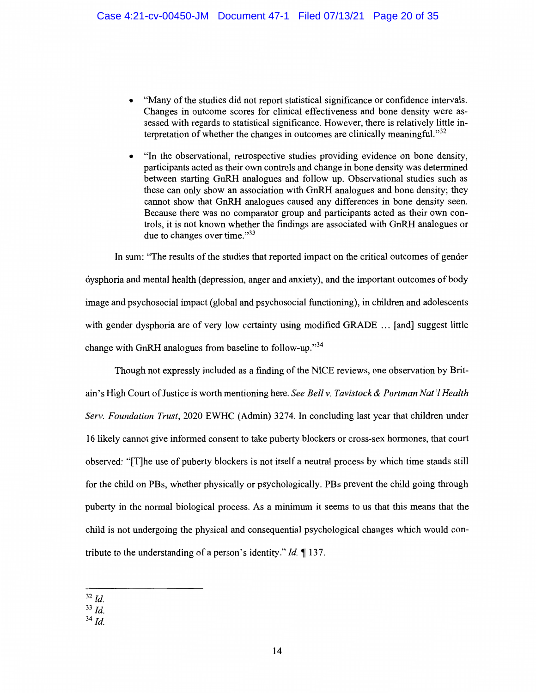- "Many of the studies did not report statistical significance or confidence intervals. Changes in outcome scores for clinical effectiveness and bone density were assessed with regards to statistical significance. However, there is relatively little interpretation of whether the changes in outcomes are clinically meaningful.<sup> $32$ </sup>
- "In the observational, retrospective studies providing evidence on bone density, participants acted as their own controls and change in bone density was determined between starting GnRH analogues and follow up. Observational studies such as these can only show an association with GnRH analogues and bone density; they cannot show that GnRH analogues caused any differences in bone density seen. Because there was no comparator group and participants acted as their own controls, it is not known whether the findings are associated with GnRH analogues or due to changes over time."33

In sum: "The results of the studies that reported impact on the critical outcomes of gender dysphoria and mental health (depression, anger and anxiety), and the important outcomes of body image and psychosocial impact (global and psychosocial functioning), in children and adolescents with gender dysphoria are of very low certainty using modified GRADE ... [and] suggest little change with GnRH analogues from baseline to follow-up."34

Though not expressly included as a finding of the NICE reviews, one observation by Britain's High Court ofJustice is worth mentioning here. *See Bell v. Tavistock & Portman Nat'! Health Serv. Foundation Trust,* 2020 EWHC (Admin) 3274. In concluding last year that children under 16 likely cannot give informed consent to take puberty blockers or cross-sex hormones, that court observed: "[T]he use of puberty blockers is not itself a neutral process by which time stands still for the child on PBs, whether physically or psychologically. PBs prevent the child going through puberty in the normal biological process. As a minimum it seems to us that this means that the child is not undergoing the physical and consequential psychological changes which would contribute to the understanding of a person's identity." *Id.* 137.

32 *Id.* 

 $33$  *Id.* 

<sup>34</sup>*Id.*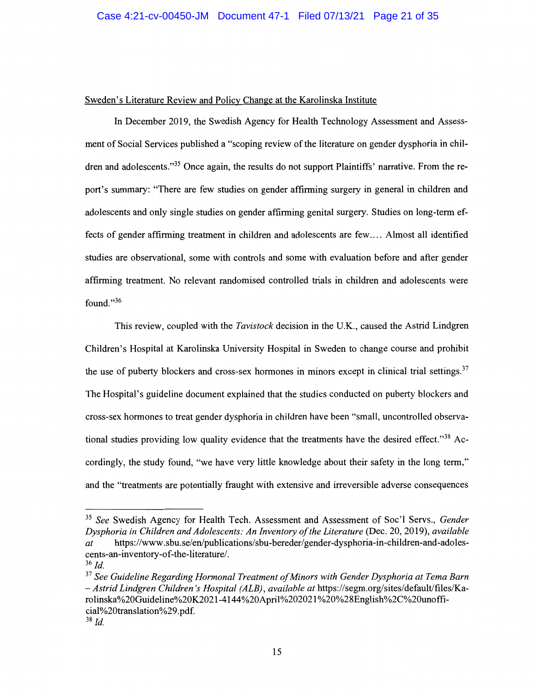## Sweden's Literature Review and Policy Change at the Karolinska Institute

In December 2019, the Swedish Agency for Health Technology Assessment and Assessment of Social Services published a "scoping review of the literature on gender dysphoria in children and adolescents."35 Once again, the results do not support Plaintiffs' narrative. From the report's summary: "There are few studies on gender affirming surgery in general in children and adolescents and only single studies on gender affirming genital surgery. Studies on long-term effects of gender affirming treatment in children and adolescents are few .... Almost all identified studies are observational, some with controls and some with evaluation before and after gender affirming treatment. No relevant randomised controlled trials in children and adolescents were found."36

This review, coupled with the *Tavistock* decision in the U.K., caused the Astrid Lindgren Children's Hospital at Karolinska University Hospital in Sweden to change course and prohibit the use of puberty blockers and cross-sex hormones in minors except in clinical trial settings.<sup>37</sup> The Hospital's guideline document explained that the studies conducted on puberty blockers and cross-sex hormones to treat gender dysphoria in children have been "small, uncontrolled observational studies providing low quality evidence that the treatments have the desired effect."<sup>38</sup> Accordingly, the study found, "we have very little knowledge about their safety in the long term," and the "treatments are potentially fraught with extensive and irreversible adverse consequences

<sup>35</sup>*See* Swedish Agency for Health Tech. Assessment and Assessment of Soc'I Servs., *Gender Dysphoria in Children and Adolescents: An Inventory of the Literature* (Dec. 20, 2019), *available at* https://www .sbu.se/en/publications/sbu-bereder/gender-dysphoria-in-children-and-adolescents-an-inventory-of-the-literature/.

 $36$  *Id.* 

<sup>&</sup>lt;sup>37</sup> See Guideline Regarding Hormonal Treatment of Minors with Gender Dysphoria at Tema Barn *-Astrid Lindgren Children's Hospital (ALB), available at* https://segm.org/sites/default/files/Karolinska%20Guideline%20K2021-4144%20April%202021 %20%28English%2C%20unofficia1%20translation%29. pdf.

<sup>38</sup> *Id.*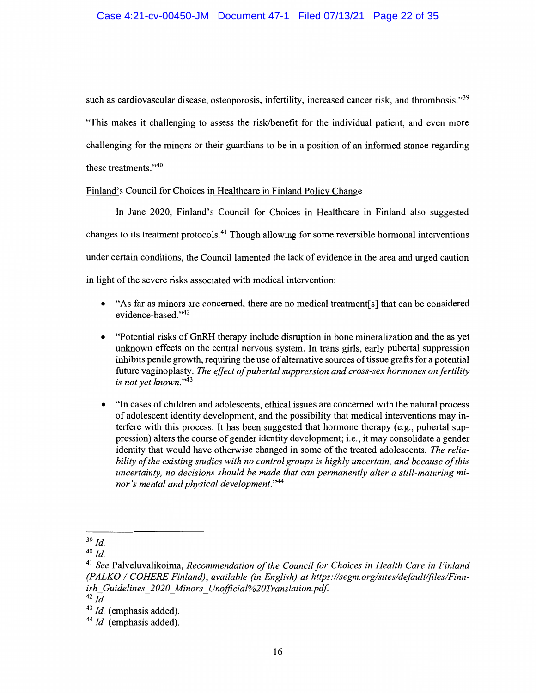## Case 4:21-cv-00450-JM Document 47-1 Filed 07/13/21 Page 22 of 35

such as cardiovascular disease, osteoporosis, infertility, increased cancer risk, and thrombosis."<sup>39</sup> "This makes it challenging to assess the risk/benefit for the individual patient, and even more challenging for the minors or their guardians to be in a position of an informed stance regarding these treatments."<sup>40</sup>

#### Finland's Council for Choices in Healthcare in Finland Policy Change

In June 2020, Finland's Council for Choices in Healthcare in Finland also suggested changes to its treatment protocols.41 Though allowing for some reversible hormonal interventions under certain conditions, the Council lamented the lack of evidence in the area and urged caution in light of the severe risks associated with medical intervention:

- "As far as minors are concerned, there are no medical treatment[s] that can be considered evidence-based."<sup>42</sup>
- "Potential risks of GnRH therapy include disruption in bone mineralization and the as yet unknown effects on the central nervous system. In trans girls, early pubertal suppression inhibits penile growth, requiring the use of alternative sources of tissue grafts for a potential future vaginoplasty. *The effect of pubertal suppression and cross-sex hormones on fertility is not yet known."43*
- "In cases of children and adolescents, ethical issues are concerned with the natural process of adolescent identity development, and the possibility that medical interventions may interfere with this process. It has been suggested that hormone therapy  $(e.g.,$  pubertal suppression) alters the course of gender identity development; i.e., it may consolidate a gender identity that would have otherwise changed in some of the treated adolescents. *The reliability of the existing studies with no control groups is highly uncertain, and because of this uncertainty, no decisions should be made that can permanently alter a still-maturing minor's mental and physical development."44*

<sup>39</sup>*Id.* 

<sup>40</sup>*Id.* 

<sup>41</sup>*See* Palveluvalikoima, *Recommendation of the Council for Choices in Health Care in Finland (PALKO I COHERE Finland), available (in English) at https:llsegm.orglsites/default/files/Finnish\_ Guidelines\_ 2020 \_Minors\_ Unofficial%20Translation.pdf* 

 $42$  *Id.* 

<sup>&</sup>lt;sup>43</sup> *Id.* (emphasis added).

<sup>&</sup>lt;sup>44</sup> *Id.* (emphasis added).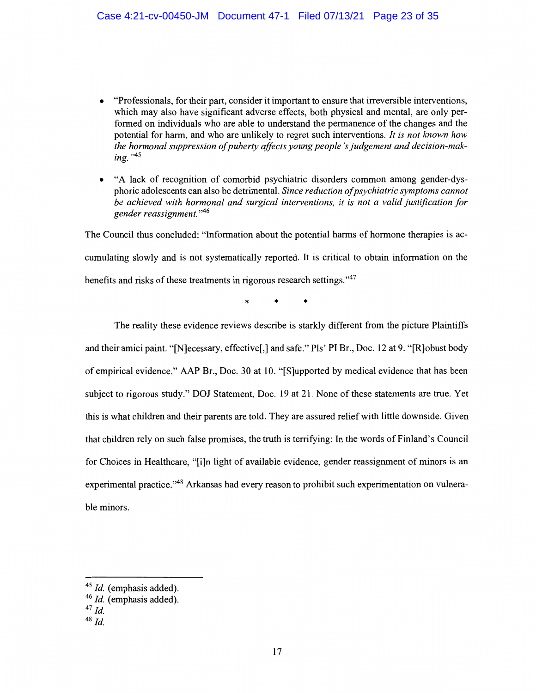- "Professionals, for their part, consider it important to ensure that irreversible interventions, which may also have significant adverse effects, both physical and mental, are only performed on individuals who are able to understand the permanence of the changes and the potential for harm, and who are unlikely to regret such interventions. *It is not known how the hormonal suppression of puberty affects young people's judgement and decision-mak- ing.* <sup>,,45</sup>
- "A lack of recognition of comorbid psychiatric disorders common among gender-dysphoric adolescents can also be detrimental. *Since reduction of psychiatric symptoms cannot be achieved with hormonal and surgical interventions, it is not a valid justification for gender reassignment.* "46

The Council thus concluded: "Information about the potential harms of hormone therapies is accumulating slowly and is not systematically reported. It is critical to obtain information on the benefits and risks of these treatments in rigorous research settings. "47

\* \* \*

The reality these evidence reviews describe is starkly different from the picture Plaintiffs and their amici paint. "[N]ecessary, effective[,] and safe." Pis' PI Br., Doc. 12 at 9. "[R]obust body of empirical evidence." AAP Br., Doc. 30 at I 0. "[S]upported by medical evidence that has been subject to rigorous study." DOJ Statement, Doc. 19 at 21. None of these statements are true. Yet this is what children and their parents are told. They are assured relief with little downside. Given that children rely on such false promises, the truth is terrifying: In the words of Finland's Council for Choices in Healthcare, "[i]n light of available evidence, gender reassignment of minors is an experimental practice."<sup>48</sup> Arkansas had every reason to prohibit such experimentation on vulnerable minors.

<sup>&</sup>lt;sup>45</sup> *Id.* (emphasis added).

<sup>46</sup>*Id.* (emphasis added).

<sup>47</sup>*Id.* 

<sup>48</sup>*Id.*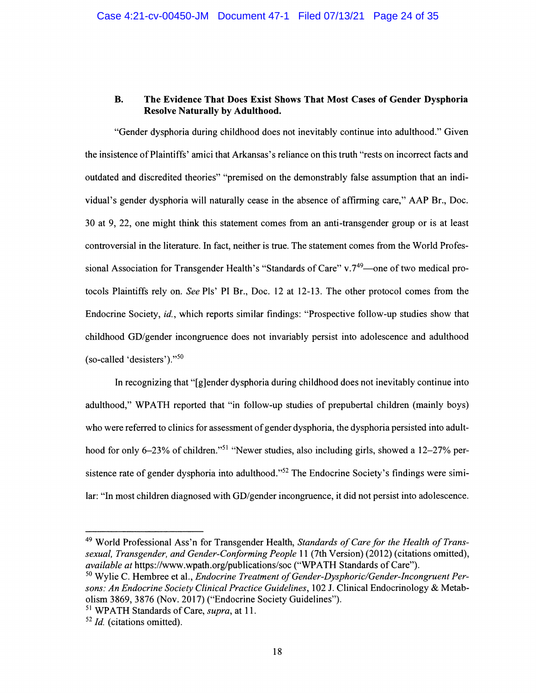# **B. The Evidence That Does Exist Shows That Most Cases of Gender Dysphoria Resolve Naturally by Adulthood.**

"Gender dysphoria during childhood does not inevitably continue into adulthood." Given the insistence of Plaintiffs' amici that Arkansas's reliance on this truth "rests on incorrect facts and outdated and discredited theories" "premised on the demonstrably false assumption that an individual's gender dysphoria will naturally cease in the absence of affirming care," AAP Br., Doc. 30 at 9, 22, one might think this statement comes from an anti-transgender group or is at least controversial in the literature. In fact, neither is true. The statement comes from the World Professional Association for Transgender Health's "Standards of Care" v.7<sup>49</sup>—one of two medical protocols Plaintiffs rely on. *See* Pis' PI Br., Doc. 12 at 12-13. The other protocol comes from the Endocrine Society, *id.,* which reports similar findings: "Prospective follow-up studies show that childhood GD/gender incongruence does not invariably persist into adolescence and adulthood (so-called 'desisters')."<sup>50</sup>

In recognizing that "[g]ender dysphoria during childhood does not inevitably continue into adulthood," WPATH reported that "in follow-up studies of prepubertal children (mainly boys) who were referred to clinics for assessment of gender dysphoria, the dysphoria persisted into adulthood for only 6-23% of children."<sup>51</sup> "Newer studies, also including girls, showed a 12-27% persistence rate of gender dysphoria into adulthood."<sup>52</sup> The Endocrine Society's findings were similar: "In most children diagnosed with GD/gender incongruence, it did not persist into adolescence.

<sup>49</sup> World Professional Ass'n for Transgender Health, *Standards of Care for the Health of Transsexual, Transgender, and Gender-Conforming People* 11 (7th Version) (2012) (citations omitted), *available at https://www.wpath.org/publications/soc* ("WPATH Standards of Care").

<sup>&</sup>lt;sup>50</sup> Wylie C. Hembree et al., *Endocrine Treatment of Gender-Dysphoric/Gender-Incongruent Persons: An Endocrine Society Clinical Practice Guidelines,* 102 J. Clinical Endocrinology & Metabolism 3869, 3876 (Nov. 2017) ("Endocrine Society Guidelines").

<sup>&</sup>lt;sup>51</sup> WPATH Standards of Care, *supra*, at 11.

<sup>&</sup>lt;sup>52</sup> Id. (citations omitted).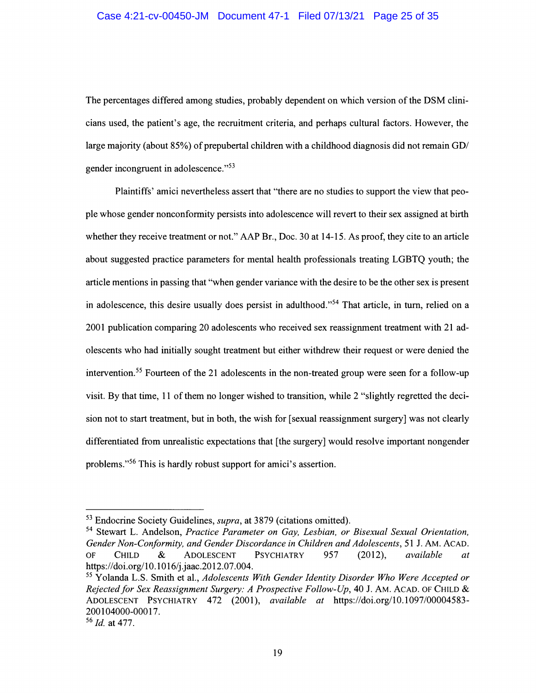The percentages differed among studies, probably dependent on which version of the DSM clinicians used, the patient's age, the recruitment criteria, and perhaps cultural factors. However, the large majority (about 85%) of prepubertal children with a childhood diagnosis did not remain GD/ gender incongruent in adolescence."53

Plaintiffs' amici nevertheless assert that "there are no studies to support the view that people whose gender nonconformity persists into adolescence will revert to their sex assigned at birth whether they receive treatment or not." AAP Br., Doc. 30 at 14-15. As proof, they cite to an article about suggested practice parameters for mental health professionals treating LGBTQ youth; the article mentions in passing that "when gender variance with the desire to be the other sex is present in adolescence, this desire usually does persist in adulthood."<sup>54</sup> That article, in turn, relied on a 2001 publication comparing 20 adolescents who received sex reassignment treatment with 21 adolescents who had initially sought treatment but either withdrew their request or were denied the intervention.55 Fourteen of the 21 adolescents in the non-treated group were seen for a follow-up visit. By that time, 11 of them no longer wished to transition, while 2 "slightly regretted the decision not to start treatment, but in both, the wish for [ sexual reassignment surgery] was not clearly differentiated from unrealistic expectations that [the surgery] would resolve important nongender problems."56 This is hardly robust support for amici's assertion.

<sup>53</sup> Endocrine Society Guidelines, *supra,* at 3879 (citations omitted).

<sup>54</sup> Stewart L. Andelson, *Practice Parameter on Gay, Lesbian, or Bisexual Sexual Orientation, Gender Non-Conformity, and Gender Discordance in Children and Adolescents,* 51 J. AM. ACAD. OF CHILD & ADOLESCENT PSYCHIATRY 957 (2012), *available at*  https://doi.org/10.1016/j.jaac.2012.07.004.

<sup>55</sup> Yolanda L.S. Smith et al., *Adolescents With Gender Identity Disorder Who Were Accepted or Rejected for Sex Reassignment Surgery: A Prospective Follow-Up,* 40 J. AM. ACAD. OF CHILD & ADOLESCENT PSYCHIATRY 472 (2001), *available at* https://doi.org/10.1097/00004583- 200104000-00017.

<sup>56</sup>*Id.* at 477.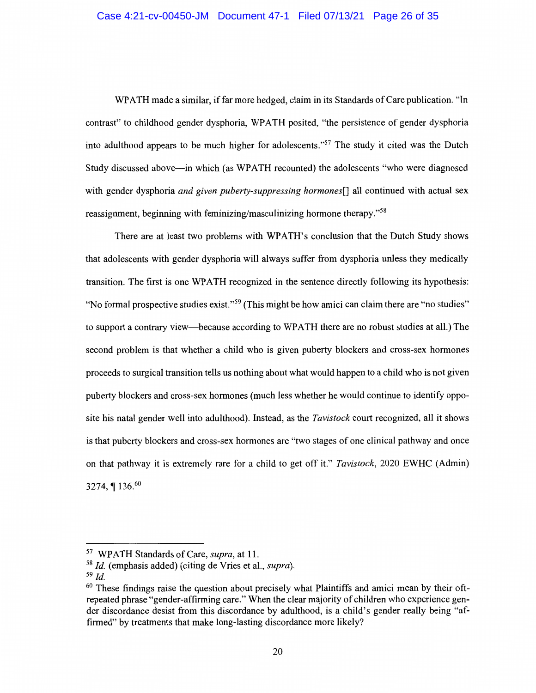WPATH made a similar, if far more hedged, claim in its Standards of Care publication. "In contrast" to childhood gender dysphoria, WPATH posited, "the persistence of gender dysphoria into adulthood appears to be much higher for adolescents."57 The study it cited was the Dutch Study discussed above-in which (as WPATH recounted) the adolescents "who were diagnosed with gender dysphoria *and given puberty-suppressing hormones[]* all continued with actual sex reassignment, beginning with feminizing/masculinizing hormone therapy."<sup>58</sup>

There are at least two problems with WPATH's conclusion that the Dutch Study shows that adolescents with gender dysphoria will always suffer from dysphoria unless they medically transition. The first is one WPATH recognized in the sentence directly following its hypothesis: "No formal prospective studies exist."<sup>59</sup> (This might be how amici can claim there are "no studies" to support a contrary view—because according to WPATH there are no robust studies at all.) The second problem is that whether a child who is given puberty blockers and cross-sex hormones proceeds to surgical transition tells us nothing about what would happen to a child who is not given puberty blockers and cross-sex hormones (much less whether he would continue to identify opposite his natal gender well into adulthood). Instead, as the *Tavistock* court recognized, all it shows is that puberty blockers and cross-sex hormones are "two stages of one clinical pathway and once on that pathway it is extremely rare for a child to get off it." *Tavistock,* 2020 EWHC (Admin) 3274,  $\P$  136.<sup>60</sup>

*<sup>57</sup>*WP ATH Standards of Care, *supra,* at 11.

<sup>58</sup>*Id.* (emphasis added) (citing de Vries et al., *supra).* 

<sup>59</sup>*Id.* 

<sup>&</sup>lt;sup>60</sup> These findings raise the question about precisely what Plaintiffs and amici mean by their oftrepeated phrase "gender-affirming care." When the clear majority of children who experience gender discordance desist from this discordance by adulthood, is a child's gender really being "affirmed" by treatments that make long-lasting discordance more likely?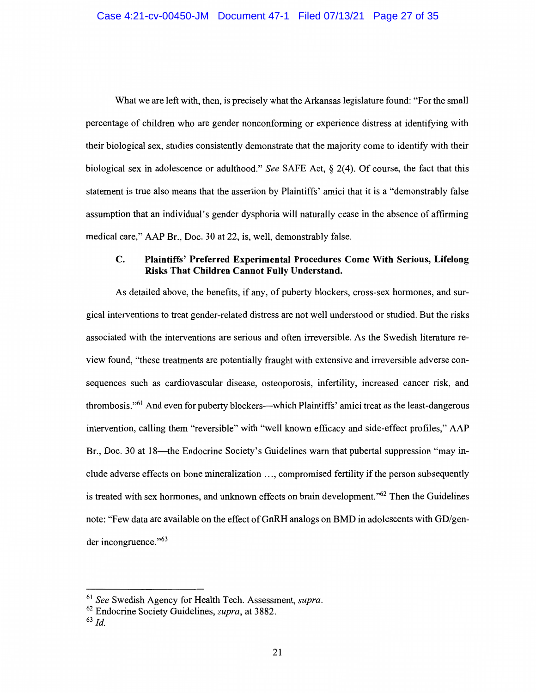What we are left with, then, is precisely what the Arkansas legislature found: "For the small percentage of children who are gender nonconforming or experience distress at identifying with their biological sex, studies consistently demonstrate that the majority come to identify with their biological sex in adolescence or adulthood." *See* SAFE Act, § 2(4). Of course, the fact that this statement is true also means that the assertion by Plaintiffs' amici that it is a "demonstrably false assumption that an individual's gender dysphoria will naturally cease in the absence of affirming medical care," AAP Br., Doc. 30 at 22, is, well, demonstrably false.

# **C. Plaintiffs' Preferred Experimental Procedures Come With Serious, Lifelong Risks That Children Cannot Fully Understand.**

As detailed above, the benefits, if any, of puberty blockers, cross-sex hormones, and surgical interventions to treat gender-related distress are not well understood or studied. But the risks associated with the interventions are serious and often irreversible. As the Swedish literature review found, "these treatments are potentially fraught with extensive and irreversible adverse consequences such as cardiovascular disease, osteoporosis, infertility, increased cancer risk, and thrombosis."<sup>61</sup> And even for puberty blockers—which Plaintiffs' amici treat as the least-dangerous intervention, calling them "reversible" with "well known efficacy and side-effect profiles," AAP Br., Doc. 30 at 18—the Endocrine Society's Guidelines warn that pubertal suppression "may include adverse effects on bone mineralization ... , compromised fertility if the person subsequently is treated with sex hormones, and unknown effects on brain development."<sup>62</sup> Then the Guidelines note: "Few data are available on the effect of GnRH analogs on BMD in adolescents with GD/gender incongruence. "63

<sup>61</sup>*See* Swedish Agency for Health Tech. Assessment, *supra.* 

<sup>62</sup> Endocrine Society Guidelines, *supra,* at 3882.

<sup>63</sup>*Id.*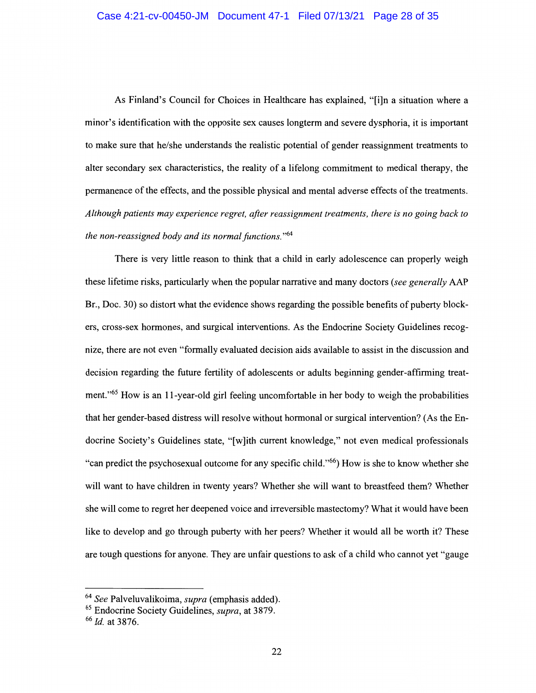As Finland's Council for Choices in Healthcare has explained, "[i]n a situation where a minor's identification with the opposite sex causes longterm and severe dysphoria, it is important to make sure that he/she understands the realistic potential of gender reassignment treatments to alter secondary sex characteristics, the reality of a lifelong commitment to medical therapy, the permanence of the effects, and the possible physical and mental adverse effects of the treatments. *Although patients may experience regret, after reassignment treatments, there is no going back to the non-reassigned body and its normal functions.* "64

There is very little reason to think that a child in early adolescence can properly weigh these lifetime risks, particularly when the popular narrative and many doctors *(see generally* AAP Br., Doc. 30) so distort what the evidence shows regarding the possible benefits of puberty blockers, cross-sex hormones, and surgical interventions. As the Endocrine Society Guidelines recognize, there are not even "formally evaluated decision aids available to assist in the discussion and decision regarding the future fertility of adolescents or adults beginning gender-affirming treatment."65 How is an 11-year-old girl feeling uncomfortable in her body to weigh the probabilities that her gender-based distress will resolve without hormonal or surgical intervention? (As the Endocrine Society's Guidelines state, "[w]ith current knowledge," not even medical professionals "can predict the psychosexual outcome for any specific child."66) How is she to know whether she will want to have children in twenty years? Whether she will want to breastfeed them? Whether she will come to regret her deepened voice and irreversible mastectomy? What it would have been like to develop and go through puberty with her peers? Whether it would all be worth it? These are tough questions for anyone. They are unfair questions to ask of a child who cannot yet "gauge

<sup>64</sup> *See* Palveluvalikoima, *supra* ( emphasis added).

<sup>65</sup> Endocrine Society Guidelines, *supra,* at 3879.

<sup>66</sup> *Id.* at 3876.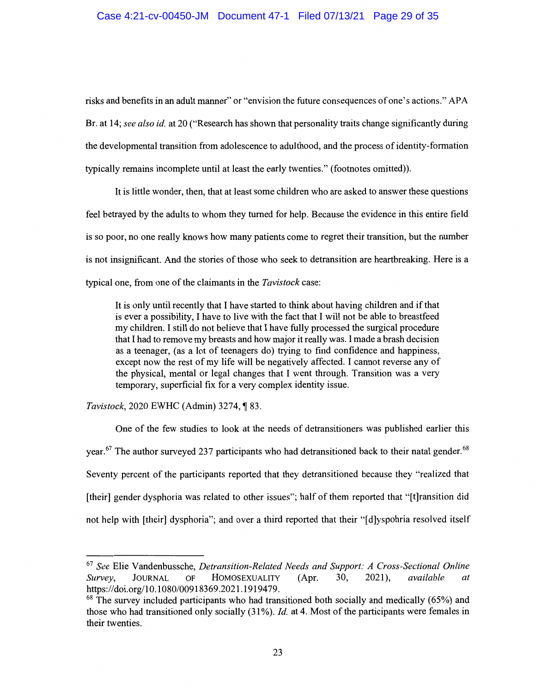risks and benefits in an adult manner" or "envision the future consequences of one's actions." APA Br. at 14; *see also id.* at 20 ("Research has shown that personality traits change significantly during the developmental transition from adolescence to adulthood, and the process of identity-formation typically remains incomplete until at least the early twenties." (footnotes omitted)).

It is little wonder, then, that at least some children who are asked to answer these questions feel betrayed by the adults to whom they turned for help. Because the evidence in this entire field is so poor, no one really knows how many patients come to regret their transition, but the number is not insignificant. And the stories of those who seek to detransition are heartbreaking. Here is a typical one, from one of the claimants in the *Tavistock* case:

It is only until recently that I have started to think about having children and if that is ever a possibility, I have to live with the fact that I will not be able to breastfeed my children. I still do not believe that I have fully processed the surgical procedure that I had to remove my breasts and how major it really was. I made a brash decision as a teenager, ( as a lot of teenagers do) trying to find confidence and happiness, except now the rest of my life will be negatively affected. I cannot reverse any of the physical, mental or legal changes that I went through. Transition was a very temporary, superficial fix for a very complex identity issue.

# *Tavistock*, 2020 EWHC (Admin) 3274, 183.

One of the few studies to look at the needs of detransitioners was published earlier this year.<sup>67</sup> The author surveyed 237 participants who had detransitioned back to their natal gender.<sup>68</sup> Seventy percent of the participants reported that they detransitioned because they "realized that [their] gender dysphoria was related to other issues"; half of them reported that "[t]ransition did not help with [their] dysphoria"; and over a third reported that their "[ d]yspohria resolved itself

<sup>67</sup>*See* Elie Vandenbussche, *Detransition-Related Needs and Support: A Cross-Sectional Online Survey,* JOURNAL OF HOMOSEXUALITY **(Apr.** 30, 2021 ), *available at*  https://doi.org/10.1080/00918369.2021.1919479.

 $68$  The survey included participants who had transitioned both socially and medically (65%) and those who had transitioned only socially (31%). *Id.* at 4. Most of the participants were females in their twenties.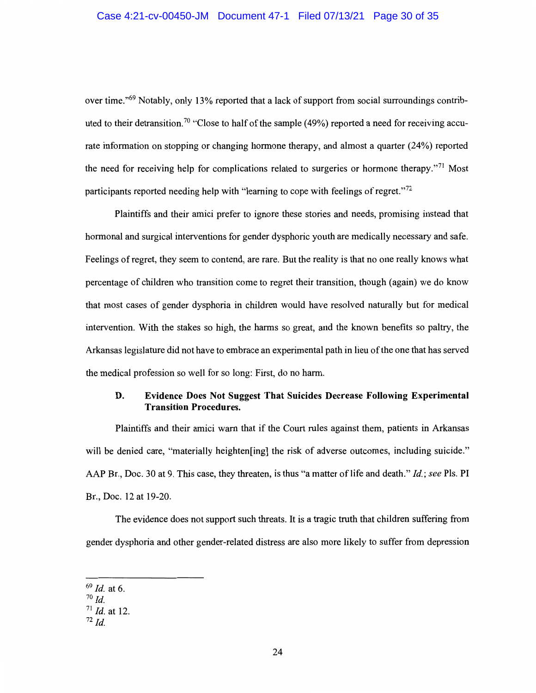over time."69 Notably, only 13% reported that a lack of support from social surroundings contributed to their detransition.<sup>70</sup> "Close to half of the sample (49%) reported a need for receiving accurate information on stopping or changing hormone therapy, and almost a quarter (24%) reported the need for receiving help for complications related to surgeries or hormone therapy."<sup>71</sup> Most participants reported needing help with "learning to cope with feelings of regret."<sup>72</sup>

Plaintiffs and their amici prefer to ignore these stories and needs, promising instead that hormonal and surgical interventions for gender dysphoric youth are medically necessary and safe. Feelings of regret, they seem to contend, are rare. But the reality is that no one really knows what percentage of children who transition come to regret their transition, though (again) we do know that most cases of gender dysphoria in children would have resolved naturally but for medical intervention. With the stakes so high, the harms so great, and the known benefits so paltry, the Arkansas legislature did not have to embrace an experimental path in lieu of the one that has served the medical profession so well for so long: First, do no harm.

# **D. Evidence Does Not Suggest That Suicides Decrease Following Experimental Transition Procedures.**

Plaintiffs and their amici warn that if the Court rules against them, patients in Arkansas will be denied care, "materially heighten [ing] the risk of adverse outcomes, including suicide." AAP Br., Doc. 30 at 9. This case, they threaten, is thus "a matter oflife and death." *Id.; see* Pls. Pl Br., Doc. 12 at 19-20.

The evidence does not support such threats. It is a tragic truth that children suffering from gender dysphoria and other gender-related distress are also more likely to suffer from depression

<sup>69</sup>*Id.* at 6.

<sup>70</sup>*Id.* 

<sup>71</sup>*Id.* at 12.

 $72$  *Id.*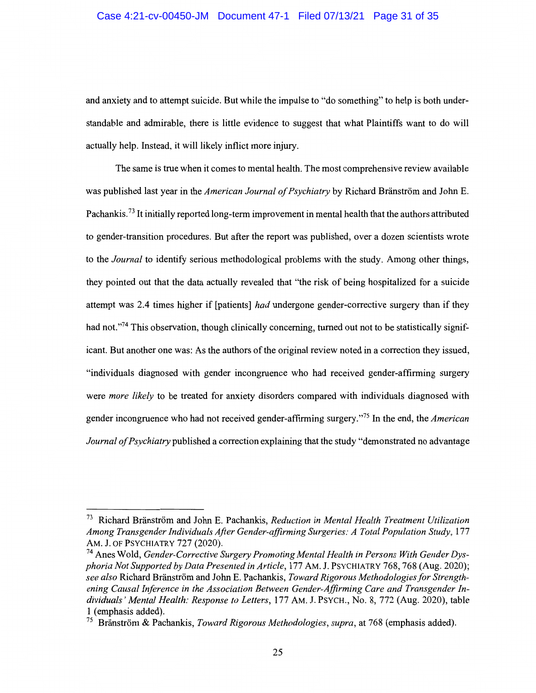#### Case 4:21-cv-00450-JM Document 47-1 Filed 07/13/21 Page 31 of 35

and anxiety and to attempt suicide. But while the impulse to "do something" to help is both understandable and admirable, there is little evidence to suggest that what Plaintiffs want to do will actually help. Instead, it will likely inflict more injury.

The same is true when it comes to mental health. The most comprehensive review available was published last year in the *American Journal of Psychiatry* by Richard Branstrom and John E. Pachankis.<sup>73</sup> It initially reported long-term improvement in mental health that the authors attributed to gender-transition procedures. But after the report was published, over a dozen scientists wrote to the *Journal* to identify serious methodological problems with the study. Among other things, they pointed out that the data actually revealed that "the risk of being hospitalized for a suicide attempt was 2.4 times higher if [patients] *had* undergone gender-corrective surgery than if they had not."<sup>74</sup> This observation, though clinically concerning, turned out not to be statistically significant. But another one was: As the authors of the original review noted in a correction they issued, "individuals diagnosed with gender incongruence who had received gender-affirming surgery were *more likely* to be treated for anxiety disorders compared with individuals diagnosed with gender incongruence who had not received gender-affirming surgery."75 In the end, the *American Journal of Psychiatry* published a correction explaining that the study "demonstrated no advantage

<sup>&</sup>lt;sup>73</sup> Richard Bränström and John E. Pachankis, *Reduction in Mental Health Treatment Utilization Among Transgender Individuals After Gender-affirming Surgeries: A Total Population Study,* 177 AM. J. OF PSYCHIATRY 727 (2020).

<sup>74</sup> Anes Wold, *Gender-Corrective Surgery Promoting Mental Health in Persons With Gender Dysphoria Not Supported by Data Presented in Article,* 177 AM. **J.** PSYCHIATRY 768, 768 (Aug. 2020); *see also* Richard Branstrom and John E. Pachankis, *Toward Rigorous Methodologies for Strengthening Causal Inference in the Association Between Gender-Affirming Care and Transgender Individuals' Mental Health: Response to Letters,* 177 AM. J. PSYCH., No. 8, 772 (Aug. 2020), table 1 (emphasis added).

<sup>75</sup> Branstrom & Pachankis, *Toward Rigorous Methodologies, supra,* at 768 (emphasis added).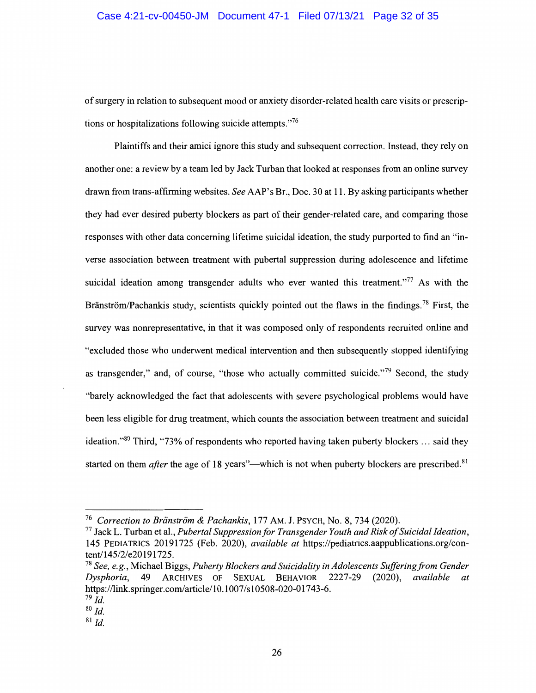of surgery in relation to subsequent mood or anxiety disorder-related health care visits or prescriptions or hospitalizations following suicide attempts."76

Plaintiffs and their amici ignore this study and subsequent correction. Instead, they rely on another one: a review by a team led by Jack Turban that looked at responses from an online survey drawn from trans-affirming websites. *See* AAP's Br., Doc. 30 at 11. By asking participants whether they had ever desired puberty blockers as part of their gender-related care, and comparing those responses with other data concerning lifetime suicidal ideation, the study purported to find an "inverse association between treatment with pubertal suppression during adolescence and lifetime suicidal ideation among transgender adults who ever wanted this treatment."<sup>77</sup> As with the Bränström/Pachankis study, scientists quickly pointed out the flaws in the findings.<sup>78</sup> First, the survey was nonrepresentative, in that it was composed only of respondents recruited online and "excluded those who underwent medical intervention and then subsequently stopped identifying as transgender," and, of course, "those who actually committed suicide."<sup>79</sup> Second, the study "barely acknowledged the fact that adolescents with severe psychological problems would have been less eligible for drug treatment, which counts the association between treatment and suicidal ideation."<sup>80</sup> Third, "73% of respondents who reported having taken puberty blockers ... said they started on them *after* the age of 18 years"—which is not when puberty blockers are prescribed.<sup>81</sup>

<sup>&</sup>lt;sup>76</sup> Correction to Bränström & Pachankis, 177 AM. J. PSYCH, No. 8, 734 (2020).

<sup>77</sup> Jack L. Turban et al., *Pubertal Suppression for Transgender Youth and Risk of Suicidal Ideation,*  145 PEDIATRICS 20191725 (Feb. 2020), *available at* https://pediatrics.aappublications.org/content/145/2/e20191725.

<sup>78</sup>*See, e.g.,* Michael Biggs, *Puberty Blockers and Suicidality in Adolescents Suffering from Gender Dysphoria,* 49 ARCHIVES OF SEXUAL BEHAVIOR 2227-29 (2020), *available at*  https://link.springer.com/article/10.1007/s10508-020-01743-6.

*<sup>19</sup> Id.* 

so *Id.* 

 $81$  *Id.*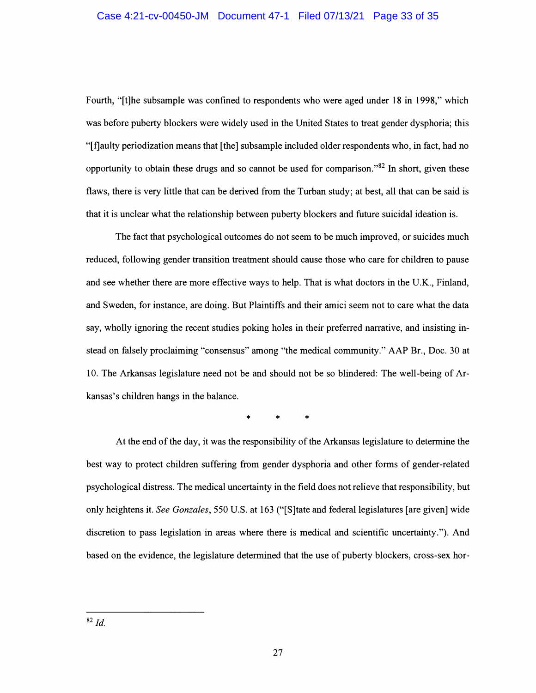Fourth, "[t]he subsample was confined to respondents who were aged under 18 in 1998," which was before puberty blockers were widely used in the United States to treat gender dysphoria; this "[t]aulty periodization means that [the] subsample included older respondents who, in fact, had no opportunity to obtain these drugs and so cannot be used for comparison." $82$  In short, given these flaws, there is very little that can be derived from the Turban study; at best, all that can be said is that it is unclear what the relationship between puberty blockers and future suicidal ideation is.

The fact that psychological outcomes do not seem to be much improved, or suicides much reduced, following gender transition treatment should cause those who care for children to pause and see whether there are more effective ways to help. That is what doctors in the U.K., Finland, and Sweden, for instance, are doing. But Plaintiffs and their amici seem not to care what the data say, wholly ignoring the recent studies poking holes in their preferred narrative, and insisting instead on falsely proclaiming "consensus" among "the medical community." AAP Br., Doc. 30 at 10. The Arkansas legislature need not be and should not be so blindered: The well-being of Arkansas's children hangs in the balance.

\* \* \*

At the end of the day, it was the responsibility of the Arkansas legislature to determine the best way to protect children suffering from gender dysphoria and other forms of gender-related psychological distress. The medical uncertainty in the field does not relieve that responsibility, but only heightens it. *See Gonzales,* 550 U.S. at 163 ("[S]tate and federal legislatures [are given] wide discretion to pass legislation in areas where there is medical and scientific uncertainty."). And based on the evidence, the legislature determined that the use of puberty blockers, cross-sex hor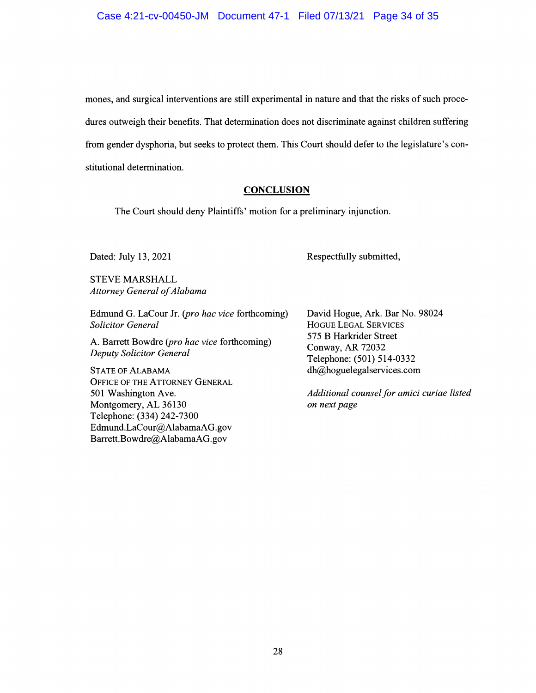mones, and surgical interventions are still experimental in nature and that the risks of such procedures outweigh their benefits. That determination does not discriminate against children suffering from gender dysphoria, but seeks to protect them. This Court should defer to the legislature's constitutional determination.

## **CONCLUSION**

The Court should deny Plaintiffs' motion for a preliminary injunction.

Dated: July 13, 2021

STEVE MARSHALL *Attorney General of Alabama* 

Edmund G. LaCour Jr. *(pro hac vice* forthcoming) *Solicitor General* 

A. Barrett Bowdre *(pro hac vice* forthcoming) *Deputy Solicitor General* 

STATE OF ALABAMA OFFICE OF THE ATTORNEY GENERAL 501 Washington Ave. Montgomery, AL 36130 Telephone: (334) 242-7300 Edmund.LaCour@AlabamaAG.gov Barrett.Bowdre@AlabamaAG.gov

David Hogue, Ark. Bar No. 98024 HOGUE LEGAL SERVICES 575 B Harkrider Street Conway, AR 72032 Telephone: (501) 514-0332 dh@hoguelegalservices.com

Respectfully submitted,

*Additional counsel for amici curiae listed on next page*